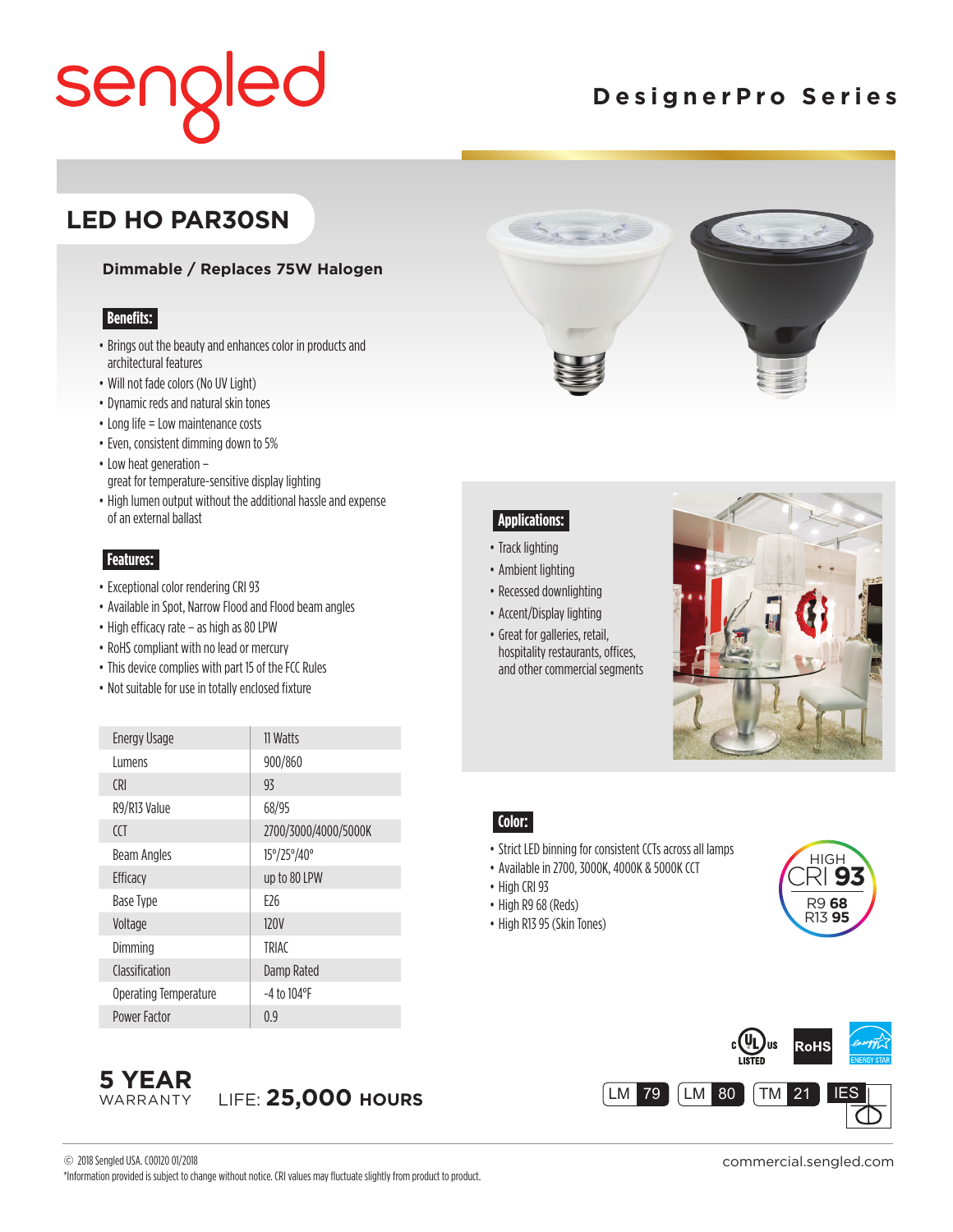## seng ed

## **DesignerPro Series**

### **LED HO PAR30SN**

#### **Dimmable / Replaces 75W Halogen**

#### **Benefits:**

- Brings out the beauty and enhances color in products and architectural features
- Will not fade colors (No UV Light)
- Dynamic reds and natural skin tones
- Long life = Low maintenance costs
- Even, consistent dimming down to 5%
- Low heat generation great for temperature-sensitive display lighting
- High lumen output without the additional hassle and expense of an external ballast

#### **Features:**

- Exceptional color rendering CRI 93
- Available in Spot, Narrow Flood and Flood beam angles
- High efficacy rate as high as 80 LPW
- RoHS compliant with no lead or mercury
- This device complies with part 15 of the FCC Rules
- Not suitable for use in totally enclosed fixture

| <b>Energy Usage</b>   | 11 Watts             |
|-----------------------|----------------------|
| l umens               | 900/860              |
| (RI                   | 93                   |
| R9/R13 Value          | 68/95                |
| CCT                   | 2700/3000/4000/5000K |
| Beam Angles           | 15°/25°/40°          |
| Efficacy              | up to 80 LPW         |
| Base Type             | F <sub>26</sub>      |
| Voltage               | <b>120V</b>          |
| Dimming               | <b>TRIAC</b>         |
| Classification        | Damp Rated           |
| Operating Temperature | $-4$ to $104$ °F     |
| Power Factor          | 0.9                  |



#### **Applications:**

- Track lighting
- Ambient lighting
- Recessed downlighting
- Accent/Display lighting
- Great for galleries, retail, hospitality restaurants, offices, and other commercial segments



#### **Color:**

- Strict LED binning for consistent CCTs across all lamps
- Available in 2700, 3000K, 4000K & 5000K CCT
- High CRI 93
- High R9 68 (Reds)
- High R13 95 (Skin Tones)







commercial.sengled.com